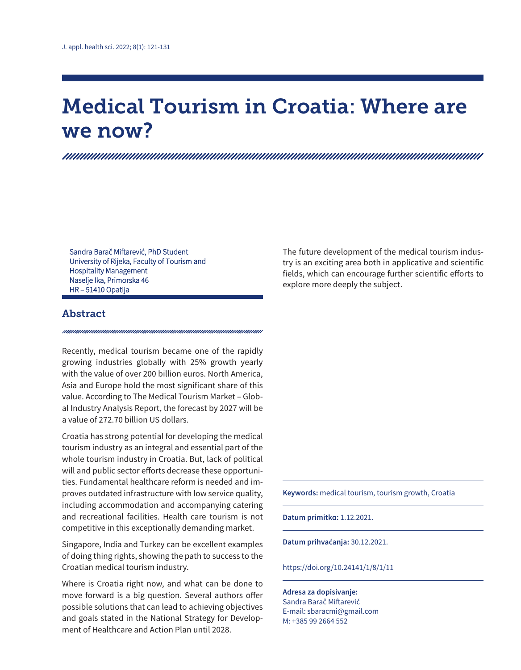# Medical Tourism in Croatia: Where are we now?

Sandra Barač Miftarević, PhD Student University of Rijeka, Faculty of Tourism and Hospitality Management Naselje Ika, Primorska 46 HR – 51410 Opatija

# Abstract

Recently, medical tourism became one of the rapidly growing industries globally with 25% growth yearly with the value of over 200 billion euros. North America, Asia and Europe hold the most significant share of this value. According to The Medical Tourism Market – Global Industry Analysis Report, the forecast by 2027 will be a value of 272.70 billion US dollars.

Croatia has strong potential for developing the medical tourism industry as an integral and essential part of the whole tourism industry in Croatia. But, lack of political will and public sector efforts decrease these opportunities. Fundamental healthcare reform is needed and improves outdated infrastructure with low service quality, including accommodation and accompanying catering and recreational facilities. Health care tourism is not competitive in this exceptionally demanding market.

Singapore, India and Turkey can be excellent examples of doing thing rights, showing the path to success to the Croatian medical tourism industry.

Where is Croatia right now, and what can be done to move forward is a big question. Several authors offer possible solutions that can lead to achieving objectives and goals stated in the National Strategy for Development of Healthcare and Action Plan until 2028.

The future development of the medical tourism industry is an exciting area both in applicative and scientific fields, which can encourage further scientific efforts to explore more deeply the subject.

**Keywords:** medical tourism, tourism growth, Croatia

**Datum primitka:** 1.12.2021.

**Datum prihvaćanja:** 30.12.2021.

https://doi.org/10.24141/1/8/1/11

**Adresa za dopisivanje:**

Sandra Barač Miftarević E-mail: sbaracmi@gmail.com M: +385 99 2664 552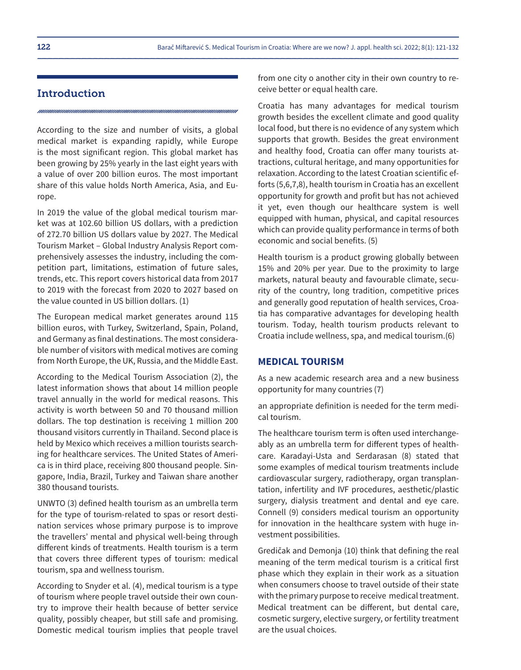# Introduction

According to the size and number of visits, a global medical market is expanding rapidly, while Europe is the most significant region. This global market has been growing by 25% yearly in the last eight years with a value of over 200 billion euros. The most important share of this value holds North America, Asia, and Europe.

In 2019 the value of the global medical tourism market was at 102.60 billion US dollars, with a prediction of 272.70 billion US dollars value by 2027. The Medical Tourism Market – Global Industry Analysis Report comprehensively assesses the industry, including the competition part, limitations, estimation of future sales, trends, etc. This report covers historical data from 2017 to 2019 with the forecast from 2020 to 2027 based on the value counted in US billion dollars. (1)

The European medical market generates around 115 billion euros, with Turkey, Switzerland, Spain, Poland, and Germany as final destinations. The most considerable number of visitors with medical motives are coming from North Europe, the UK, Russia, and the Middle East.

According to the Medical Tourism Association (2), the latest information shows that about 14 million people travel annually in the world for medical reasons. This activity is worth between 50 and 70 thousand million dollars. The top destination is receiving 1 million 200 thousand visitors currently in Thailand. Second place is held by Mexico which receives a million tourists searching for healthcare services. The United States of America is in third place, receiving 800 thousand people. Singapore, India, Brazil, Turkey and Taiwan share another 380 thousand tourists.

UNWTO (3) defined health tourism as an umbrella term for the type of tourism-related to spas or resort destination services whose primary purpose is to improve the travellers' mental and physical well-being through different kinds of treatments. Health tourism is a term that covers three different types of tourism: medical tourism, spa and wellness tourism.

According to Snyder et al. (4), medical tourism is a type of tourism where people travel outside their own country to improve their health because of better service quality, possibly cheaper, but still safe and promising. Domestic medical tourism implies that people travel from one city o another city in their own country to receive better or equal health care.

Croatia has many advantages for medical tourism growth besides the excellent climate and good quality local food, but there is no evidence of any system which supports that growth. Besides the great environment and healthy food, Croatia can offer many tourists attractions, cultural heritage, and many opportunities for relaxation. According to the latest Croatian scientific efforts (5,6,7,8), health tourism in Croatia has an excellent opportunity for growth and profit but has not achieved it yet, even though our healthcare system is well equipped with human, physical, and capital resources which can provide quality performance in terms of both economic and social benefits. (5)

Health tourism is a product growing globally between 15% and 20% per year. Due to the proximity to large markets, natural beauty and favourable climate, security of the country, long tradition, competitive prices and generally good reputation of health services, Croatia has comparative advantages for developing health tourism. Today, health tourism products relevant to Croatia include wellness, spa, and medical tourism.(6)

#### **MEDICAL TOURISM**

As a new academic research area and a new business opportunity for many countries (7)

an appropriate definition is needed for the term medical tourism.

The healthcare tourism term is often used interchangeably as an umbrella term for different types of healthcare. Karadayi-Usta and Serdarasan (8) stated that some examples of medical tourism treatments include cardiovascular surgery, radiotherapy, organ transplantation, infertility and IVF procedures, aesthetic/plastic surgery, dialysis treatment and dental and eye care. Connell (9) considers medical tourism an opportunity for innovation in the healthcare system with huge investment possibilities.

Gredičak and Demonja (10) think that defining the real meaning of the term medical tourism is a critical first phase which they explain in their work as a situation when consumers choose to travel outside of their state with the primary purpose to receive medical treatment. Medical treatment can be different, but dental care, cosmetic surgery, elective surgery, or fertility treatment are the usual choices.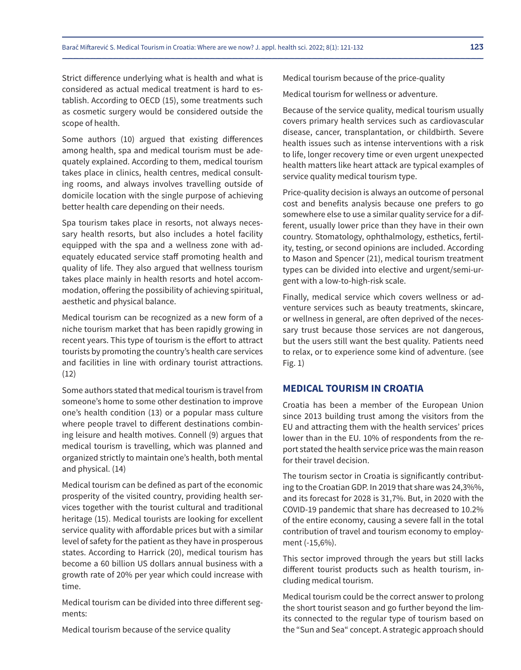Strict difference underlying what is health and what is considered as actual medical treatment is hard to establish. According to OECD (15), some treatments such as cosmetic surgery would be considered outside the scope of health.

Some authors (10) argued that existing differences among health, spa and medical tourism must be adequately explained. According to them, medical tourism takes place in clinics, health centres, medical consulting rooms, and always involves travelling outside of domicile location with the single purpose of achieving better health care depending on their needs.

Spa tourism takes place in resorts, not always necessary health resorts, but also includes a hotel facility equipped with the spa and a wellness zone with adequately educated service staff promoting health and quality of life. They also argued that wellness tourism takes place mainly in health resorts and hotel accommodation, offering the possibility of achieving spiritual, aesthetic and physical balance.

Medical tourism can be recognized as a new form of a niche tourism market that has been rapidly growing in recent years. This type of tourism is the effort to attract tourists by promoting the country's health care services and facilities in line with ordinary tourist attractions. (12)

Some authors stated that medical tourism is travel from someone's home to some other destination to improve one's health condition (13) or a popular mass culture where people travel to different destinations combining leisure and health motives. Connell (9) argues that medical tourism is travelling, which was planned and organized strictly to maintain one's health, both mental and physical. (14)

Medical tourism can be defined as part of the economic prosperity of the visited country, providing health services together with the tourist cultural and traditional heritage (15). Medical tourists are looking for excellent service quality with affordable prices but with a similar level of safety for the patient as they have in prosperous states. According to Harrick (20), medical tourism has become a 60 billion US dollars annual business with a growth rate of 20% per year which could increase with time.

Medical tourism can be divided into three different segments:

Medical tourism because of the service quality

Medical tourism because of the price-quality

Medical tourism for wellness or adventure.

Because of the service quality, medical tourism usually covers primary health services such as cardiovascular disease, cancer, transplantation, or childbirth. Severe health issues such as intense interventions with a risk to life, longer recovery time or even urgent unexpected health matters like heart attack are typical examples of service quality medical tourism type.

Price-quality decision is always an outcome of personal cost and benefits analysis because one prefers to go somewhere else to use a similar quality service for a different, usually lower price than they have in their own country. Stomatology, ophthalmology, esthetics, fertility, testing, or second opinions are included. According to Mason and Spencer (21), medical tourism treatment types can be divided into elective and urgent/semi-urgent with a low-to-high-risk scale.

Finally, medical service which covers wellness or adventure services such as beauty treatments, skincare, or wellness in general, are often deprived of the necessary trust because those services are not dangerous, but the users still want the best quality. Patients need to relax, or to experience some kind of adventure. (see Fig. 1)

## **MEDICAL TOURISM IN CROATIA**

Croatia has been a member of the European Union since 2013 building trust among the visitors from the EU and attracting them with the health services' prices lower than in the EU. 10% of respondents from the report stated the health service price was the main reason for their travel decision.

The tourism sector in Croatia is significantly contributing to the Croatian GDP. In 2019 that share was 24,3%%, and its forecast for 2028 is 31,7%. But, in 2020 with the COVID-19 pandemic that share has decreased to 10.2% of the entire economy, causing a severe fall in the total contribution of travel and tourism economy to employment (-15,6%).

This sector improved through the years but still lacks different tourist products such as health tourism, including medical tourism.

Medical tourism could be the correct answer to prolong the short tourist season and go further beyond the limits connected to the regular type of tourism based on the "Sun and Sea" concept. A strategic approach should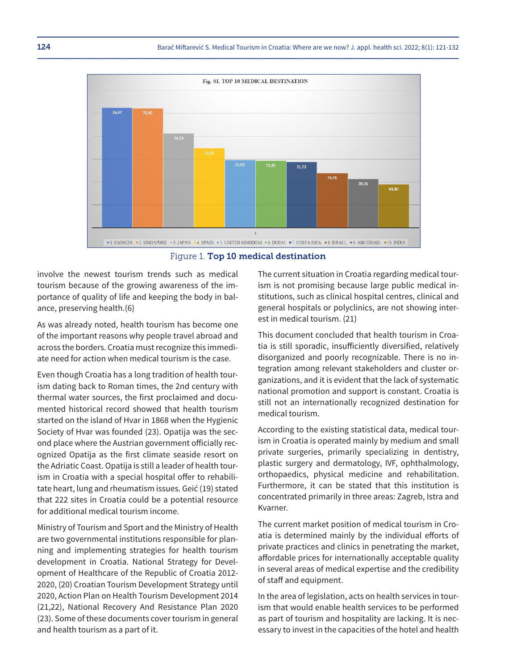

#### Figure 1. Top 10 medical destination

involve the newest tourism trends such as medical tourism because of the growing awareness of the importance of quality of life and keeping the body in balance, preserving health.(6)

As was already noted, health tourism has become one of the important reasons why people travel abroad and across the borders. Croatia must recognize this immediate need for action when medical tourism is the case.

Even though Croatia has a long tradition of health tourism dating back to Roman times, the 2nd century with thermal water sources, the first proclaimed and documented historical record showed that health tourism started on the island of Hvar in 1868 when the Hygienic Society of Hvar was founded (23). Opatija was the second place where the Austrian government officially recognized Opatija as the first climate seaside resort on the Adriatic Coast. Opatija is still a leader of health tourism in Croatia with a special hospital offer to rehabilitate heart, lung and rheumatism issues. Geić (19) stated that 222 sites in Croatia could be a potential resource for additional medical tourism income.

Ministry of Tourism and Sport and the Ministry of Health are two governmental institutions responsible for planning and implementing strategies for health tourism development in Croatia. National Strategy for Development of Healthcare of the Republic of Croatia 2012- 2020, (20) Croatian Tourism Development Strategy until 2020, Action Plan on Health Tourism Development 2014 (21,22), National Recovery And Resistance Plan 2020 (23). Some of these documents cover tourism in general and health tourism as a part of it.

The current situation in Croatia regarding medical tourism is not promising because large public medical institutions, such as clinical hospital centres, clinical and general hospitals or polyclinics, are not showing interest in medical tourism. (21)

This document concluded that health tourism in Croatia is still sporadic, insufficiently diversified, relatively disorganized and poorly recognizable. There is no integration among relevant stakeholders and cluster organizations, and it is evident that the lack of systematic national promotion and support is constant. Croatia is still not an internationally recognized destination for medical tourism.

According to the existing statistical data, medical tourism in Croatia is operated mainly by medium and small private surgeries, primarily specializing in dentistry, plastic surgery and dermatology, IVF, ophthalmology, orthopaedics, physical medicine and rehabilitation. Furthermore, it can be stated that this institution is concentrated primarily in three areas: Zagreb, Istra and Kvarner.

The current market position of medical tourism in Croatia is determined mainly by the individual efforts of private practices and clinics in penetrating the market, affordable prices for internationally acceptable quality in several areas of medical expertise and the credibility of staff and equipment.

In the area of legislation, acts on health services in tourism that would enable health services to be performed as part of tourism and hospitality are lacking. It is necessary to invest in the capacities of the hotel and health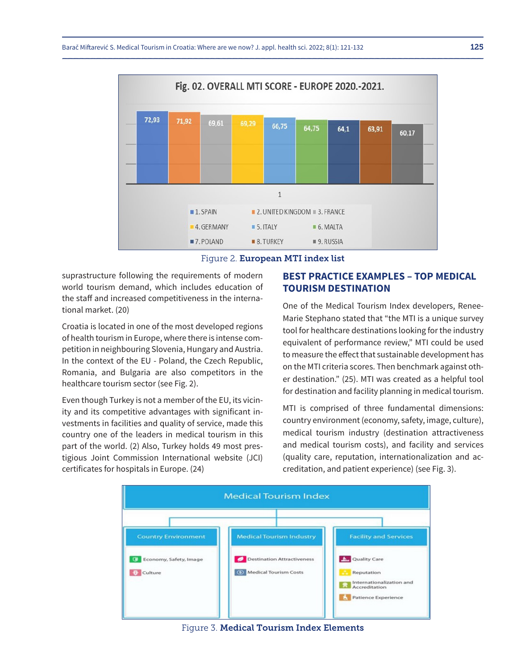

#### Figure 2. European MTI index list

suprastructure following the requirements of modern world tourism demand, which includes education of the staff and increased competitiveness in the international market. (20)

Croatia is located in one of the most developed regions of health tourism in Europe, where there is intense competition in neighbouring Slovenia, Hungary and Austria. In the context of the EU - Poland, the Czech Republic, Romania, and Bulgaria are also competitors in the healthcare tourism sector (see Fig. 2).

Even though Turkey is not a member of the EU, its vicinity and its competitive advantages with significant investments in facilities and quality of service, made this country one of the leaders in medical tourism in this part of the world. (2) Also, Turkey holds 49 most prestigious Joint Commission International website (JCI) certificates for hospitals in Europe. (24)

# **BEST PRACTICE EXAMPLES – TOP MEDICAL TOURISM DESTINATION**

One of the Medical Tourism Index developers, Renee-Marie Stephano stated that "the MTI is a unique survey tool for healthcare destinations looking for the industry equivalent of performance review," MTI could be used to measure the effect that sustainable development has on the MTI criteria scores. Then benchmark against other destination." (25). MTI was created as a helpful tool for destination and facility planning in medical tourism.

MTI is comprised of three fundamental dimensions: country environment (economy, safety, image, culture), medical tourism industry (destination attractiveness and medical tourism costs), and facility and services (quality care, reputation, internationalization and accreditation, and patient experience) (see Fig. 3).



#### Figure 3. Medical Tourism Index Elements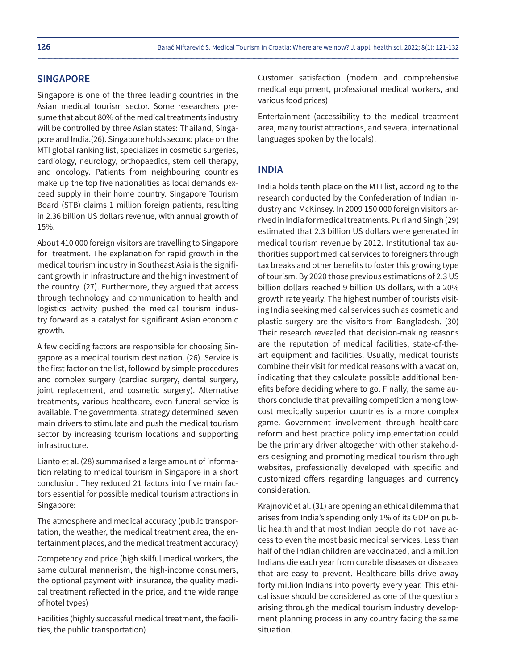#### **SINGAPORE**

Singapore is one of the three leading countries in the Asian medical tourism sector. Some researchers presume that about 80% of the medical treatments industry will be controlled by three Asian states: Thailand, Singapore and India.(26). Singapore holds second place on the MTI global ranking list, specializes in cosmetic surgeries, cardiology, neurology, orthopaedics, stem cell therapy, and oncology. Patients from neighbouring countries make up the top five nationalities as local demands exceed supply in their home country. Singapore Tourism Board (STB) claims 1 million foreign patients, resulting in 2.36 billion US dollars revenue, with annual growth of 15%.

About 410 000 foreign visitors are travelling to Singapore for treatment. The explanation for rapid growth in the medical tourism industry in Southeast Asia is the significant growth in infrastructure and the high investment of the country. (27). Furthermore, they argued that access through technology and communication to health and logistics activity pushed the medical tourism industry forward as a catalyst for significant Asian economic growth.

A few deciding factors are responsible for choosing Singapore as a medical tourism destination. (26). Service is the first factor on the list, followed by simple procedures and complex surgery (cardiac surgery, dental surgery, joint replacement, and cosmetic surgery). Alternative treatments, various healthcare, even funeral service is available. The governmental strategy determined seven main drivers to stimulate and push the medical tourism sector by increasing tourism locations and supporting infrastructure.

Lianto et al. (28) summarised a large amount of information relating to medical tourism in Singapore in a short conclusion. They reduced 21 factors into five main factors essential for possible medical tourism attractions in Singapore:

The atmosphere and medical accuracy (public transportation, the weather, the medical treatment area, the entertainment places, and the medical treatment accuracy)

Competency and price (high skilful medical workers, the same cultural mannerism, the high-income consumers, the optional payment with insurance, the quality medical treatment reflected in the price, and the wide range of hotel types)

Facilities (highly successful medical treatment, the facilities, the public transportation)

Customer satisfaction (modern and comprehensive medical equipment, professional medical workers, and various food prices)

Entertainment (accessibility to the medical treatment area, many tourist attractions, and several international languages spoken by the locals).

### **INDIA**

India holds tenth place on the MTI list, according to the research conducted by the Confederation of Indian Industry and McKinsey. In 2009 150 000 foreign visitors arrived in India for medical treatments. Puri and Singh (29) estimated that 2.3 billion US dollars were generated in medical tourism revenue by 2012. Institutional tax authorities support medical services to foreigners through tax breaks and other benefits to foster this growing type of tourism. By 2020 those previous estimations of 2.3 US billion dollars reached 9 billion US dollars, with a 20% growth rate yearly. The highest number of tourists visiting India seeking medical services such as cosmetic and plastic surgery are the visitors from Bangladesh. (30) Their research revealed that decision-making reasons are the reputation of medical facilities, state-of-theart equipment and facilities. Usually, medical tourists combine their visit for medical reasons with a vacation, indicating that they calculate possible additional benefits before deciding where to go. Finally, the same authors conclude that prevailing competition among lowcost medically superior countries is a more complex game. Government involvement through healthcare reform and best practice policy implementation could be the primary driver altogether with other stakeholders designing and promoting medical tourism through websites, professionally developed with specific and customized offers regarding languages and currency consideration.

Krajnović et al. (31) are opening an ethical dilemma that arises from India's spending only 1% of its GDP on public health and that most Indian people do not have access to even the most basic medical services. Less than half of the Indian children are vaccinated, and a million Indians die each year from curable diseases or diseases that are easy to prevent. Healthcare bills drive away forty million Indians into poverty every year. This ethical issue should be considered as one of the questions arising through the medical tourism industry development planning process in any country facing the same situation.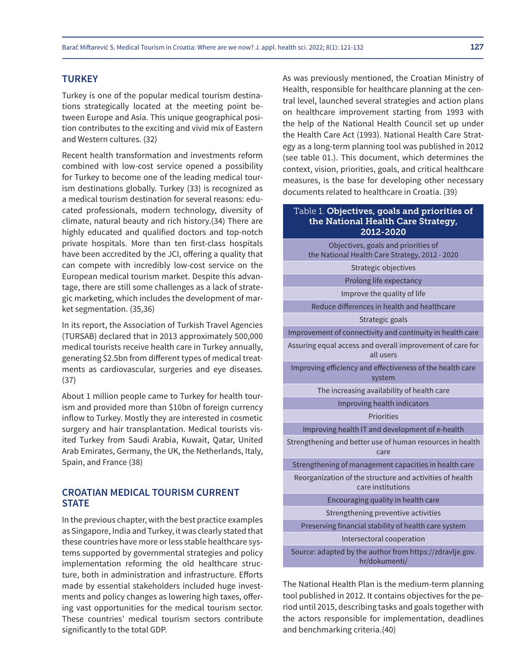#### **TURKEY**

Turkey is one of the popular medical tourism destinations strategically located at the meeting point between Europe and Asia. This unique geographical position contributes to the exciting and vivid mix of Eastern and Western cultures. (32)

Recent health transformation and investments reform combined with low-cost service opened a possibility for Turkey to become one of the leading medical tourism destinations globally. Turkey (33) is recognized as a medical tourism destination for several reasons: educated professionals, modern technology, diversity of climate, natural beauty and rich history.(34) There are highly educated and qualified doctors and top-notch private hospitals. More than ten first-class hospitals have been accredited by the JCI, offering a quality that can compete with incredibly low-cost service on the European medical tourism market. Despite this advantage, there are still some challenges as a lack of strategic marketing, which includes the development of market segmentation. (35,36)

In its report, the Association of Turkish Travel Agencies (TURSAB) declared that in 2013 approximately 500,000 medical tourists receive health care in Turkey annually, generating \$2.5bn from different types of medical treatments as cardiovascular, surgeries and eye diseases. (37)

About 1 million people came to Turkey for health tourism and provided more than \$10bn of foreign currency inflow to Turkey. Mostly they are interested in cosmetic surgery and hair transplantation. Medical tourists visited Turkey from Saudi Arabia, Kuwait, Qatar, United Arab Emirates, Germany, the UK, the Netherlands, Italy, Spain, and France (38)

# **CROATIAN MEDICAL TOURISM CURRENT STATE**

In the previous chapter, with the best practice examples as Singapore, India and Turkey, it was clearly stated that these countries have more or less stable healthcare systems supported by governmental strategies and policy implementation reforming the old healthcare structure, both in administration and infrastructure. Efforts made by essential stakeholders included huge investments and policy changes as lowering high taxes, offering vast opportunities for the medical tourism sector. These countries' medical tourism sectors contribute significantly to the total GDP.

As was previously mentioned, the Croatian Ministry of Health, responsible for healthcare planning at the central level, launched several strategies and action plans on healthcare improvement starting from 1993 with the help of the National Health Council set up under the Health Care Act (1993). National Health Care Strategy as a long-term planning tool was published in 2012 (see table 01.). This document, which determines the context, vision, priorities, goals, and critical healthcare measures, is the base for developing other necessary documents related to healthcare in Croatia. (39)

#### Table 1. Objectives, goals and priorities of the National Health Care Strategy, 2012-2020

| Objectives, goals and priorities of<br>the National Health Care Strategy, 2012 - 2020 |
|---------------------------------------------------------------------------------------|
| Strategic objectives                                                                  |
| Prolong life expectancy                                                               |
| Improve the quality of life                                                           |
| Reduce differences in health and healthcare                                           |
| Strategic goals                                                                       |
| Improvement of connectivity and continuity in health care                             |
| Assuring equal access and overall improvement of care for<br>all users                |
| Improving efficiency and effectiveness of the health care<br>system                   |
| The increasing availability of health care                                            |
| Improving health indicators                                                           |
| <b>Priorities</b>                                                                     |
| Improving health IT and development of e-health                                       |
| Strengthening and better use of human resources in health<br>care                     |
| Strengthening of management capacities in health care                                 |
| Reorganization of the structure and activities of health<br>care institutions         |
| Encouraging quality in health care                                                    |
| Strengthening preventive activities                                                   |
| Preserving financial stability of health care system                                  |
| Intersectoral cooperation                                                             |
| Source: adapted by the author from https://zdravlje.gov.<br>hr/dokumenti/             |

The National Health Plan is the medium-term planning tool published in 2012. It contains objectives for the period until 2015, describing tasks and goals together with the actors responsible for implementation, deadlines and benchmarking criteria.(40)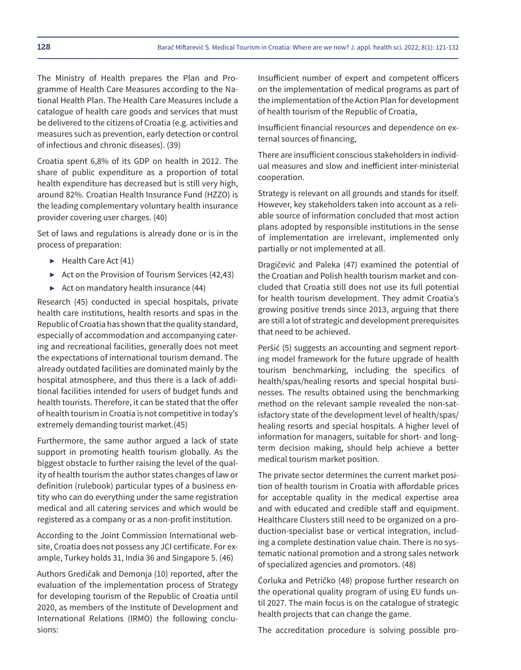The Ministry of Health prepares the Plan and Programme of Health Care Measures according to the National Health Plan. The Health Care Measures include a catalogue of health care goods and services that must be delivered to the citizens of Croatia (e.g. activities and measures such as prevention, early detection or control of infectious and chronic diseases). (39)

Croatia spent 6,8% of its GDP on health in 2012. The share of public expenditure as a proportion of total health expenditure has decreased but is still very high, around 82%. Croatian Health Insurance Fund (HZZO) is the leading complementary voluntary health insurance provider covering user charges. (40)

Set of laws and regulations is already done or is in the process of preparation:

- ▶ Health Care Act (41)
- ▶ Act on the Provision of Tourism Services (42,43)
- $\triangleright$  Act on mandatory health insurance (44)

Research (45) conducted in special hospitals, private health care institutions, health resorts and spas in the Republic of Croatia has shown that the quality standard, especially of accommodation and accompanying catering and recreational facilities, generally does not meet the expectations of international tourism demand. The already outdated facilities are dominated mainly by the hospital atmosphere, and thus there is a lack of additional facilities intended for users of budget funds and health tourists. Therefore, it can be stated that the offer of health tourism in Croatia is not competitive in today's extremely demanding tourist market.(45)

Furthermore, the same author argued a lack of state support in promoting health tourism globally. As the biggest obstacle to further raising the level of the quality of health tourism the author states changes of law or definition (rulebook) particular types of a business entity who can do everything under the same registration medical and all catering services and which would be registered as a company or as a non-profit institution.

According to the Joint Commission International website, Croatia does not possess any JCI certificate. For example, Turkey holds 31, India 36 and Singapore 5. (46)

Authors Gredičak and Demonja (10) reported, after the evaluation of the implementation process of Strategy for developing tourism of the Republic of Croatia until 2020, as members of the Institute of Development and International Relations (IRMO) the following conclusions:

Insufficient number of expert and competent officers on the implementation of medical programs as part of the implementation of the Action Plan for development of health tourism of the Republic of Croatia,

Insufficient financial resources and dependence on external sources of financing,

There are insufficient conscious stakeholders in individual measures and slow and inefficient inter-ministerial cooperation.

Strategy is relevant on all grounds and stands for itself. However, key stakeholders taken into account as a reliable source of information concluded that most action plans adopted by responsible institutions in the sense of implementation are irrelevant, implemented only partially or not implemented at all.

Dragičević and Paleka (47) examined the potential of the Croatian and Polish health tourism market and concluded that Croatia still does not use its full potential for health tourism development. They admit Croatia's growing positive trends since 2013, arguing that there are still a lot of strategic and development prerequisites that need to be achieved.

Peršić (5) suggests an accounting and segment reporting model framework for the future upgrade of health tourism benchmarking, including the specifics of health/spas/healing resorts and special hospital businesses. The results obtained using the benchmarking method on the relevant sample revealed the non-satisfactory state of the development level of health/spas/ healing resorts and special hospitals. A higher level of information for managers, suitable for short- and longterm decision making, should help achieve a better medical tourism market position.

The private sector determines the current market position of health tourism in Croatia with affordable prices for acceptable quality in the medical expertise area and with educated and credible staff and equipment. Healthcare Clusters still need to be organized on a production-specialist base or vertical integration, including a complete destination value chain. There is no systematic national promotion and a strong sales network of specialized agencies and promotors. (48)

Ćorluka and Petričko (48) propose further research on the operational quality program of using EU funds until 2027. The main focus is on the catalogue of strategic health projects that can change the game.

The accreditation procedure is solving possible pro-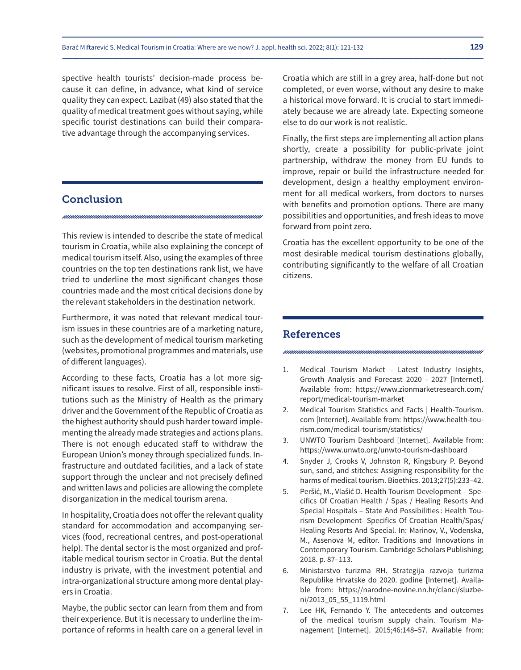spective health tourists' decision-made process because it can define, in advance, what kind of service quality they can expect. Lazibat (49) also stated that the quality of medical treatment goes without saying, while specific tourist destinations can build their comparative advantage through the accompanying services.

# **Conclusion**

This review is intended to describe the state of medical tourism in Croatia, while also explaining the concept of medical tourism itself. Also, using the examples of three countries on the top ten destinations rank list, we have tried to underline the most significant changes those countries made and the most critical decisions done by the relevant stakeholders in the destination network.

Furthermore, it was noted that relevant medical tourism issues in these countries are of a marketing nature, such as the development of medical tourism marketing (websites, promotional programmes and materials, use of different languages).

According to these facts, Croatia has a lot more significant issues to resolve. First of all, responsible institutions such as the Ministry of Health as the primary driver and the Government of the Republic of Croatia as the highest authority should push harder toward implementing the already made strategies and actions plans. There is not enough educated staff to withdraw the European Union's money through specialized funds. Infrastructure and outdated facilities, and a lack of state support through the unclear and not precisely defined and written laws and policies are allowing the complete disorganization in the medical tourism arena.

In hospitality, Croatia does not offer the relevant quality standard for accommodation and accompanying services (food, recreational centres, and post-operational help). The dental sector is the most organized and profitable medical tourism sector in Croatia. But the dental industry is private, with the investment potential and intra-organizational structure among more dental players in Croatia.

Maybe, the public sector can learn from them and from their experience. But it is necessary to underline the importance of reforms in health care on a general level in

Croatia which are still in a grey area, half-done but not completed, or even worse, without any desire to make a historical move forward. It is crucial to start immediately because we are already late. Expecting someone else to do our work is not realistic.

Finally, the first steps are implementing all action plans shortly, create a possibility for public-private joint partnership, withdraw the money from EU funds to improve, repair or build the infrastructure needed for development, design a healthy employment environment for all medical workers, from doctors to nurses with benefits and promotion options. There are many possibilities and opportunities, and fresh ideas to move forward from point zero.

Croatia has the excellent opportunity to be one of the most desirable medical tourism destinations globally, contributing significantly to the welfare of all Croatian citizens.

# References

- 1. Medical Tourism Market Latest Industry Insights, Growth Analysis and Forecast 2020 - 2027 [Internet]. Available from: https://www.zionmarketresearch.com/ report/medical-tourism-market
- 2. Medical Tourism Statistics and Facts | Health-Tourism. com [Internet]. Available from: https://www.health-tourism.com/medical-tourism/statistics/
- 3. UNWTO Tourism Dashboard [Internet]. Available from: https://www.unwto.org/unwto-tourism-dashboard
- 4. Snyder J, Crooks V, Johnston R, Kingsbury P. Beyond sun, sand, and stitches: Assigning responsibility for the harms of medical tourism. Bioethics. 2013;27(5):233–42.
- 5. Peršić, M., Vlašić D. Health Tourism Development Specifics Of Croatian Health / Spas / Healing Resorts And Special Hospitals – State And Possibilities : Health Tourism Development- Specifics Of Croatian Health/Spas/ Healing Resorts And Special. In: Marinov, V., Vodenska, M., Assenova M, editor. Traditions and Innovations in Contemporary Tourism. Cambridge Scholars Publishing; 2018. p. 87–113.
- 6. Ministarstvo turizma RH. Strategija razvoja turizma Republike Hrvatske do 2020. godine [Internet]. Available from: https://narodne-novine.nn.hr/clanci/sluzbeni/2013\_05\_55\_1119.html
- 7. Lee HK, Fernando Y. The antecedents and outcomes of the medical tourism supply chain. Tourism Management [Internet]. 2015;46:148–57. Available from: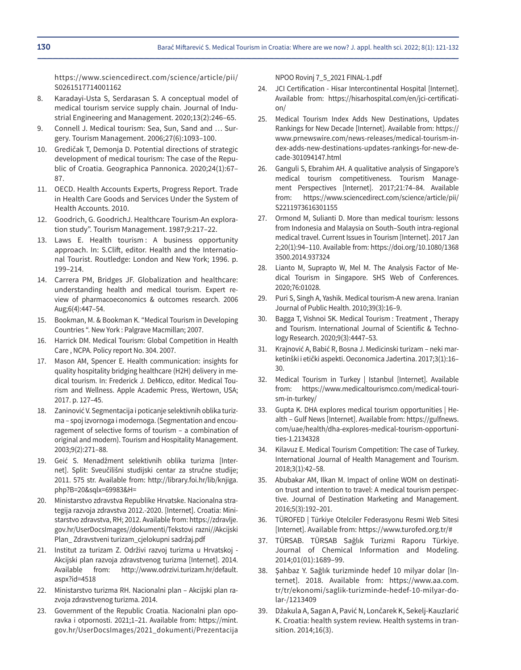https://www.sciencedirect.com/science/article/pii/ S0261517714001162

- 8. Karadayi-Usta S, Serdarasan S. A conceptual model of medical tourism service supply chain. Journal of Industrial Engineering and Management. 2020;13(2):246–65.
- 9. Connell J. Medical tourism: Sea, Sun, Sand and … Surgery. Tourism Management. 2006;27(6):1093–100.
- 10. Gredičak T, Demonja D. Potential directions of strategic development of medical tourism: The case of the Republic of Croatia. Geographica Pannonica. 2020;24(1):67– 87.
- 11. OECD. Health Accounts Experts, Progress Report. Trade in Health Care Goods and Services Under the System of Health Accounts. 2010.
- 12. Goodrich, G. GoodrichJ. Healthcare Tourism-An exploration study". Tourism Management. 1987;9:217–22.
- 13. Laws E. Health tourism: A business opportunity approach. In: S.Clift, editor. Health and the International Tourist. Routledge: London and New York; 1996. p. 199–214.
- 14. Carrera PM, Bridges JF. Globalization and healthcare: understanding health and medical tourism. Expert review of pharmacoeconomics & outcomes research. 2006 Aug;6(4):447–54.
- 15. Bookman, M. & Bookman K. "Medical Tourism in Developing Countries ". New York : Palgrave Macmillan; 2007.
- 16. Harrick DM. Medical Tourism: Global Competition in Health Care , NCPA. Policy report No. 304. 2007.
- 17. Mason AM, Spencer E. Health communication: insights for quality hospitality bridging healthcare (H2H) delivery in medical tourism. In: Frederick J. DeMicco, editor. Medical Tourism and Wellness. Apple Academic Press, Wertown, USA; 2017. p. 127–45.
- 18. Zaninović V. Segmentacija i poticanje selektivnih oblika turizma – spoj izvornoga i modernoga. (Segmentation and encouragement of selective forms of tourism – a combination of original and modern). Tourism and Hospitality Management. 2003;9(2):271–88.
- 19. Geić S. Menadžment selektivnih oblika turizma [Internet]. Split: Sveučilišni studijski centar za stručne studije; 2011. 575 str. Available from: http://library.foi.hr/lib/knjiga. php?B=20&sqlx=69983&H=
- 20. Ministarstvo zdravstva Republike Hrvatske. Nacionalna strategija razvoja zdravstva 2012.-2020. [Internet]. Croatia: Ministarstvo zdravstva, RH; 2012. Available from: https://zdravlje. gov.hr/UserDocsImages//dokumenti/Tekstovi razni//Akcijski Plan\_ Zdravstveni turizam\_cjelokupni sadržaj.pdf
- 21. Institut za turizam Z. Održivi razvoj turizma u Hrvatskoj Akcijski plan razvoja zdravstvenog turizma [Internet]. 2014. Available from: http://www.odrzivi.turizam.hr/default. aspx?id=4518
- 22. Ministarstvo turizma RH. Nacionalni plan Akcijski plan razvoja zdravstvenog turizma. 2014.
- 23. Government of the Republic Croatia. Nacionalni plan oporavka i otpornosti. 2021;1–21. Available from: https://mint. gov.hr/UserDocsImages/2021\_dokumenti/Prezentacija

NPOO Rovinj 7\_5\_2021 FINAL-1.pdf

- 24. JCI Certification Hisar Intercontinental Hospital [Internet]. Available from: https://hisarhospital.com/en/jci-certification/
- 25. Medical Tourism Index Adds New Destinations, Updates Rankings for New Decade [Internet]. Available from: https:// www.prnewswire.com/news-releases/medical-tourism-index-adds-new-destinations-updates-rankings-for-new-decade-301094147.html
- 26. Ganguli S, Ebrahim AH. A qualitative analysis of Singapore's medical tourism competitiveness. Tourism Management Perspectives [Internet]. 2017;21:74–84. Available from: https://www.sciencedirect.com/science/article/pii/ S2211973616301155
- 27. Ormond M, Sulianti D. More than medical tourism: lessons from Indonesia and Malaysia on South–South intra-regional medical travel. Current Issues in Tourism [Internet]. 2017 Jan 2;20(1):94–110. Available from: https://doi.org/10.1080/1368 3500.2014.937324
- 28. Lianto M, Suprapto W, Mel M. The Analysis Factor of Medical Tourism in Singapore. SHS Web of Conferences. 2020;76:01028.
- 29. Puri S, Singh A, Yashik. Medical tourism-A new arena. Iranian Journal of Public Health. 2010;39(3):16–9.
- 30. Bagga T, Vishnoi SK. Medical Tourism : Treatment , Therapy and Tourism. International Journal of Scientific & Technology Research. 2020;9(3):4447–53.
- 31. Krajnović A, Babić R, Bosna J. Medicinski turizam neki marketinški i etički aspekti. Oeconomica Jadertina. 2017;3(1):16– 30.
- 32. Medical Tourism in Turkey | Istanbul [Internet]. Available from: https://www.medicaltourismco.com/medical-tourism-in-turkey/
- 33. Gupta K. DHA explores medical tourism opportunities | Health – Gulf News [Internet]. Available from: https://gulfnews. com/uae/health/dha-explores-medical-tourism-opportunities-1.2134328
- 34. Kilavuz E. Medical Tourism Competition: The case of Turkey. International Journal of Health Management and Tourism. 2018;3(1):42–58.
- 35. Abubakar AM, Ilkan M. Impact of online WOM on destination trust and intention to travel: A medical tourism perspective. Journal of Destination Marketing and Management. 2016;5(3):192–201.
- 36. TÜROFED | Türkiye Otelciler Federasyonu Resmi Web Sitesi [Internet]. Available from: https://www.turofed.org.tr/#
- 37. TÜRSAB. TÜRSAB Sağlık Turizmi Raporu Türkiye. Journal of Chemical Information and Modeling. 2014;01(01):1689–99.
- 38. Şahbaz Y. Sağlık turizminde hedef 10 milyar dolar [Internet]. 2018. Available from: https://www.aa.com. tr/tr/ekonomi/saglik-turizminde-hedef-10-milyar-dolar-/1213409
- 39. Džakula A, Sagan A, Pavić N, Lončarek K, Sekelj-Kauzlarić K. Croatia: health system review. Health systems in transition. 2014;16(3).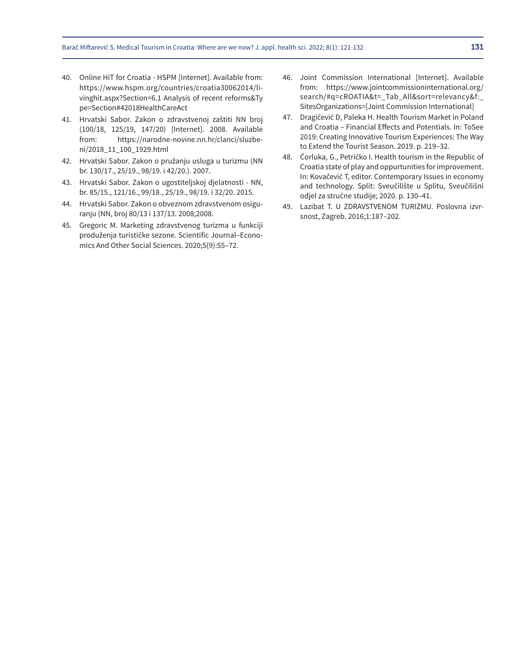- 40. Online HiT for Croatia HSPM [Internet]. Available from: https://www.hspm.org/countries/croatia30062014/livinghit.aspx?Section=6.1 Analysis of recent reforms&Ty pe=Section#42018HealthCareAct
- 41. Hrvatski Sabor. Zakon o zdravstvenoj zaštiti NN broj (100/18, 125/19, 147/20) [Internet]. 2008. Available from: https://narodne-novine.nn.hr/clanci/sluzbeni/2018\_11\_100\_1929.html
- 42. Hrvatski Sabor. Zakon o pružanju usluga u turizmu (NN br. 130/17., 25/19., 98/19. i 42/20.). 2007.
- 43. Hrvatski Sabor. Zakon o ugostiteljskoj djelatnosti NN, br. 85/15., 121/16., 99/18., 25/19., 98/19. i 32/20. 2015.
- 44. Hrvatski Sabor. Zakon o obveznom zdravstvenom osiguranju (NN, broj 80/13 i 137/13. 2008;2008.
- 45. Gregoric M. Marketing zdravstvenog turizma u funkciji produženja turističke sezone. Scientific Journal–Economics And Other Social Sciences. 2020;5(9):55–72.
- 46. Joint Commission International [Internet]. Available from: https://www.jointcommissioninternational.org/ search/#q=cROATIA&t=\_Tab\_All&sort=relevancy&f:\_ SitesOrganizations=[Joint Commission International]
- 47. Dragičević D, Paleka H. Health Tourism Market in Poland and Croatia – Financial Effects and Potentials. In: ToSee 2019: Creating Innovative Tourism Experiences: The Way to Extend the Tourist Season. 2019. p. 219–32.
- 48. Ćorluka, G., Petričko I. Health tourism in the Republic of Croatia state of play and oppurtunities for improvement. In: Kovačević T, editor. Contemporary Issues in economy and technology. Split: Sveučilište u Splitu, Sveučilišni odjel za stručne studije; 2020. p. 130–41.
- 49. Lazibat T. U ZDRAVSTVENOM TURIZMU. Poslovna izvrsnost, Zagreb. 2016;1:187–202.